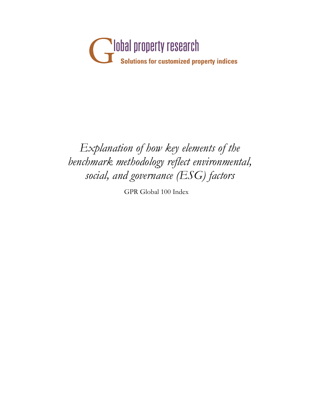

## *Explanation of how key elements of the benchmark methodology reflect environmental, social, and governance (ESG) factors*

GPR Global 100 Index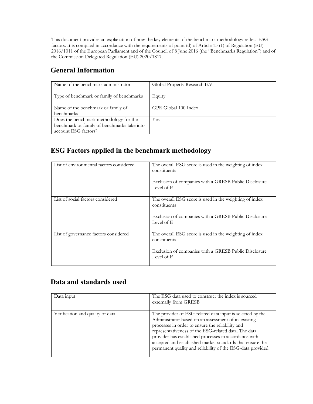This document provides an explanation of how the key elements of the benchmark methodology reflect ESG factors. It is compiled in accordance with the requirements of point (d) of Article 13 (1) of Regulation (EU) 2016/1011 of the European Parliament and of the Council of 8 June 2016 (the "Benchmarks Regulation") and of the Commission Delegated Regulation (EU) 2020/1817.

## **General Information**

| Name of the benchmark administrator                                                                           | Global Property Research B.V. |
|---------------------------------------------------------------------------------------------------------------|-------------------------------|
| Type of benchmark or family of benchmarks                                                                     | Equity                        |
| Name of the benchmark or family of<br>benchmarks                                                              | GPR Global 100 Index          |
| Does the benchmark methodology for the<br>benchmark or family of benchmarks take into<br>account ESG factors? | Yes                           |

## **ESG Factors applied in the benchmark methodology**

| List of environmental factors considered | The overall ESG score is used in the weighting of index<br>constituents<br>Exclusion of companies with a GRESB Public Disclosure<br>Level of E |
|------------------------------------------|------------------------------------------------------------------------------------------------------------------------------------------------|
| List of social factors considered        | The overall ESG score is used in the weighting of index<br>constituents<br>Exclusion of companies with a GRESB Public Disclosure<br>Level of E |
| List of governance factors considered    | The overall ESG score is used in the weighting of index<br>constituents<br>Exclusion of companies with a GRESB Public Disclosure<br>Level of E |

## **Data and standards used**

| Data input                       | The ESG data used to construct the index is sourced<br>externally from GRESB                                                                                                                                                                                                                                                                                                                                      |
|----------------------------------|-------------------------------------------------------------------------------------------------------------------------------------------------------------------------------------------------------------------------------------------------------------------------------------------------------------------------------------------------------------------------------------------------------------------|
| Verification and quality of data | The provider of ESG-related data input is selected by the<br>Administrator based on an assessment of its existing<br>processes in order to ensure the reliability and<br>representativeness of the ESG-related data. The data<br>provider has established processes in accordance with<br>accepted and established market standards that ensure the<br>permanent quality and reliability of the ESG-data provided |